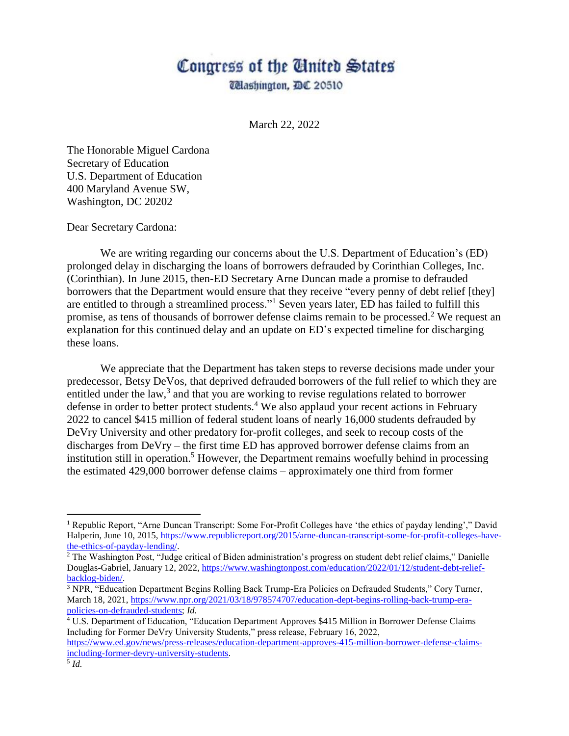## Congress of the Cinited States

*Clashington, DC 20510* 

March 22, 2022

The Honorable Miguel Cardona Secretary of Education U.S. Department of Education 400 Maryland Avenue SW, Washington, DC 20202

Dear Secretary Cardona:

We are writing regarding our concerns about the U.S. Department of Education's (ED) prolonged delay in discharging the loans of borrowers defrauded by Corinthian Colleges, Inc. (Corinthian). In June 2015, then-ED Secretary Arne Duncan made a promise to defrauded borrowers that the Department would ensure that they receive "every penny of debt relief [they] are entitled to through a streamlined process."<sup>1</sup> Seven years later, ED has failed to fulfill this promise, as tens of thousands of borrower defense claims remain to be processed.<sup>2</sup> We request an explanation for this continued delay and an update on ED's expected timeline for discharging these loans.

We appreciate that the Department has taken steps to reverse decisions made under your predecessor, Betsy DeVos, that deprived defrauded borrowers of the full relief to which they are entitled under the law,<sup>3</sup> and that you are working to revise regulations related to borrower defense in order to better protect students.<sup>4</sup> We also applaud your recent actions in February 2022 to cancel \$415 million of federal student loans of nearly 16,000 students defrauded by DeVry University and other predatory for-profit colleges, and seek to recoup costs of the discharges from DeVry – the first time ED has approved borrower defense claims from an institution still in operation. <sup>5</sup> However, the Department remains woefully behind in processing the estimated 429,000 borrower defense claims – approximately one third from former

 $\overline{a}$ 

<sup>1</sup> Republic Report, "Arne Duncan Transcript: Some For-Profit Colleges have 'the ethics of payday lending'," David Halperin, June 10, 2015, [https://www.republicreport.org/2015/arne-duncan-transcript-some-for-profit-colleges-have](https://www.republicreport.org/2015/arne-duncan-transcript-some-for-profit-colleges-have-the-ethics-of-payday-lending/)[the-ethics-of-payday-lending/.](https://www.republicreport.org/2015/arne-duncan-transcript-some-for-profit-colleges-have-the-ethics-of-payday-lending/)

<sup>&</sup>lt;sup>2</sup> The Washington Post, "Judge critical of Biden administration's progress on student debt relief claims," Danielle Douglas-Gabriel, January 12, 2022, [https://www.washingtonpost.com/education/2022/01/12/student-debt-relief](https://www.washingtonpost.com/education/2022/01/12/student-debt-relief-backlog-biden/)[backlog-biden/.](https://www.washingtonpost.com/education/2022/01/12/student-debt-relief-backlog-biden/)

<sup>3</sup> NPR, "Education Department Begins Rolling Back Trump-Era Policies on Defrauded Students," Cory Turner, March 18, 2021[, https://www.npr.org/2021/03/18/978574707/education-dept-begins-rolling-back-trump-era](https://www.npr.org/2021/03/18/978574707/education-dept-begins-rolling-back-trump-era-policies-on-defrauded-students)[policies-on-defrauded-students;](https://www.npr.org/2021/03/18/978574707/education-dept-begins-rolling-back-trump-era-policies-on-defrauded-students) *Id.*

<sup>4</sup> U.S. Department of Education, "Education Department Approves \$415 Million in Borrower Defense Claims Including for Former DeVry University Students," press release, February 16, 2022,

[https://www.ed.gov/news/press-releases/education-department-approves-415-million-borrower-defense-claims](https://www.ed.gov/news/press-releases/education-department-approves-415-million-borrower-defense-claims-including-former-devry-university-students)[including-former-devry-university-students.](https://www.ed.gov/news/press-releases/education-department-approves-415-million-borrower-defense-claims-including-former-devry-university-students)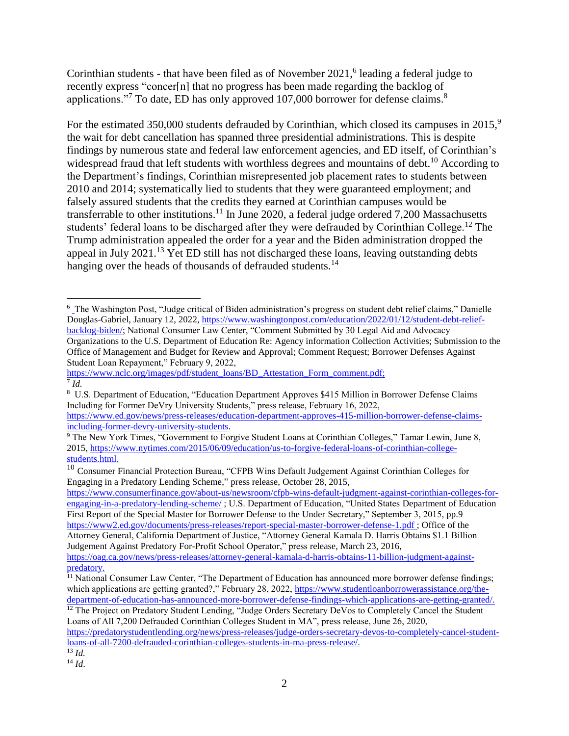Corinthian students - that have been filed as of November 2021, 6 leading a federal judge to recently express "concer[n] that no progress has been made regarding the backlog of applications."<sup>7</sup> To date, ED has only approved 107,000 borrower for defense claims.<sup>8</sup>

For the estimated 350,000 students defrauded by Corinthian, which closed its campuses in  $2015$ ,<sup>9</sup> the wait for debt cancellation has spanned three presidential administrations. This is despite findings by numerous state and federal law enforcement agencies, and ED itself, of Corinthian's widespread fraud that left students with worthless degrees and mountains of debt.<sup>10</sup> According to the Department's findings, Corinthian misrepresented job placement rates to students between 2010 and 2014; systematically lied to students that they were guaranteed employment; and falsely assured students that the credits they earned at Corinthian campuses would be transferrable to other institutions.<sup>11</sup> In June 2020, a federal judge ordered 7,200 Massachusetts students' federal loans to be discharged after they were defrauded by Corinthian College.<sup>12</sup> The Trump administration appealed the order for a year and the Biden administration dropped the appeal in July 2021.<sup>13</sup> Yet ED still has not discharged these loans, leaving outstanding debts hanging over the heads of thousands of defrauded students.<sup>14</sup>

[https://www.consumerfinance.gov/about-us/newsroom/cfpb-wins-default-judgment-against-corinthian-colleges-for](https://www.consumerfinance.gov/about-us/newsroom/cfpb-wins-default-judgment-against-corinthian-colleges-for-engaging-in-a-predatory-lending-scheme/)[engaging-in-a-predatory-lending-scheme/](https://www.consumerfinance.gov/about-us/newsroom/cfpb-wins-default-judgment-against-corinthian-colleges-for-engaging-in-a-predatory-lending-scheme/) ; U.S. Department of Education, "United States Department of Education First Report of the Special Master for Borrower Defense to the Under Secretary," September 3, 2015, pp.9 <https://www2.ed.gov/documents/press-releases/report-special-master-borrower-defense-1.pdf> ; Office of the Attorney General, California Department of Justice, "Attorney General Kamala D. Harris Obtains \$1.1 Billion

 $\overline{a}$ 

<sup>6</sup> The Washington Post, "Judge critical of Biden administration's progress on student debt relief claims," Danielle Douglas-Gabriel, January 12, 2022, [https://www.washingtonpost.com/education/2022/01/12/student-debt-relief](https://www.washingtonpost.com/education/2022/01/12/student-debt-relief-backlog-biden/)[backlog-biden/;](https://www.washingtonpost.com/education/2022/01/12/student-debt-relief-backlog-biden/) National Consumer Law Center, "Comment Submitted by 30 Legal Aid and Advocacy Organizations to the U.S. Department of Education Re: Agency information Collection Activities; Submission to the Office of Management and Budget for Review and Approval; Comment Request; Borrower Defenses Against Student Loan Repayment," February 9, 2022,

[https://www.nclc.org/images/pdf/student\\_loans/BD\\_Attestation\\_Form\\_comment.pdf;](https://www.nclc.org/images/pdf/student_loans/BD_Attestation_Form_comment.pdf) 7 *Id.*

<sup>8</sup> U.S. Department of Education, "Education Department Approves \$415 Million in Borrower Defense Claims Including for Former DeVry University Students," press release, February 16, 2022,

[https://www.ed.gov/news/press-releases/education-department-approves-415-million-borrower-defense-claims](https://www.ed.gov/news/press-releases/education-department-approves-415-million-borrower-defense-claims-including-former-devry-university-students)[including-former-devry-university-students.](https://www.ed.gov/news/press-releases/education-department-approves-415-million-borrower-defense-claims-including-former-devry-university-students)

<sup>&</sup>lt;sup>9</sup> The New York Times, "Government to Forgive Student Loans at Corinthian Colleges," Tamar Lewin, June 8, 2015, [https://www.nytimes.com/2015/06/09/education/us-to-forgive-federal-loans-of-corinthian-college](https://www.nytimes.com/2015/06/09/education/us-to-forgive-federal-loans-of-corinthian-college-students.html)[students.html.](https://www.nytimes.com/2015/06/09/education/us-to-forgive-federal-loans-of-corinthian-college-students.html)

 $10$  Consumer Financial Protection Bureau, "CFPB Wins Default Judgement Against Corinthian Colleges for Engaging in a Predatory Lending Scheme," press release, October 28, 2015,

Judgement Against Predatory For-Profit School Operator," press release, March 23, 2016, [https://oag.ca.gov/news/press-releases/attorney-general-kamala-d-harris-obtains-11-billion-judgment-against-](https://oag.ca.gov/news/press-releases/attorney-general-kamala-d-harris-obtains-11-billion-judgment-against-predatory)

predatory.

<sup>&</sup>lt;sup>11</sup> National Consumer Law Center, "The Department of Education has announced more borrower defense findings; which applications are getting granted?," February 28, 2022, [https://www.studentloanborrowerassistance.org/the](https://www.studentloanborrowerassistance.org/the-department-of-education-has-announced-more-borrower-defense-findings-which-applications-are-getting-granted/)[department-of-education-has-announced-more-borrower-defense-findings-which-applications-are-getting-granted/.](https://www.studentloanborrowerassistance.org/the-department-of-education-has-announced-more-borrower-defense-findings-which-applications-are-getting-granted/)

<sup>&</sup>lt;sup>12</sup> The Project on Predatory Student Lending, "Judge Orders Secretary DeVos to Completely Cancel the Student Loans of All 7,200 Defrauded Corinthian Colleges Student in MA", press release, June 26, 2020,

[https://predatorystudentlending.org/news/press-releases/judge-orders-secretary-devos-to-completely-cancel-student](https://predatorystudentlending.org/news/press-releases/judge-orders-secretary-devos-to-completely-cancel-student-loans-of-all-7200-defrauded-corinthian-colleges-students-in-ma-press-release/)[loans-of-all-7200-defrauded-corinthian-colleges-students-in-ma-press-release/.](https://predatorystudentlending.org/news/press-releases/judge-orders-secretary-devos-to-completely-cancel-student-loans-of-all-7200-defrauded-corinthian-colleges-students-in-ma-press-release/)

 $\overline{^{13}$  *Id.* 

<sup>14</sup> *Id*.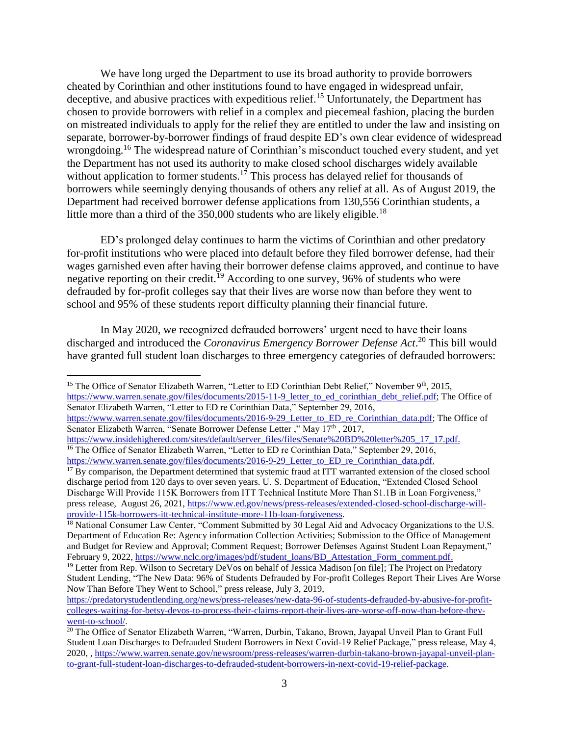We have long urged the Department to use its broad authority to provide borrowers cheated by Corinthian and other institutions found to have engaged in widespread unfair, deceptive, and abusive practices with expeditious relief.<sup>15</sup> Unfortunately, the Department has chosen to provide borrowers with relief in a complex and piecemeal fashion, placing the burden on mistreated individuals to apply for the relief they are entitled to under the law and insisting on separate, borrower-by-borrower findings of fraud despite ED's own clear evidence of widespread wrongdoing.<sup>16</sup> The widespread nature of Corinthian's misconduct touched every student, and yet the Department has not used its authority to make closed school discharges widely available without application to former students.<sup>17</sup> This process has delayed relief for thousands of borrowers while seemingly denying thousands of others any relief at all. As of August 2019, the Department had received borrower defense applications from 130,556 Corinthian students, a little more than a third of the  $350,000$  students who are likely eligible.<sup>18</sup>

ED's prolonged delay continues to harm the victims of Corinthian and other predatory for-profit institutions who were placed into default before they filed borrower defense, had their wages garnished even after having their borrower defense claims approved, and continue to have negative reporting on their credit.<sup>19</sup> According to one survey, 96% of students who were defrauded by for-profit colleges say that their lives are worse now than before they went to school and 95% of these students report difficulty planning their financial future.

In May 2020, we recognized defrauded borrowers' urgent need to have their loans discharged and introduced the *Coronavirus Emergency Borrower Defense Act*. <sup>20</sup> This bill would have granted full student loan discharges to three emergency categories of defrauded borrowers:

 $\overline{a}$ 

[https://www.warren.senate.gov/files/documents/2016-9-29\\_Letter\\_to\\_ED\\_re\\_Corinthian\\_data.pdf;](https://www.warren.senate.gov/files/documents/2016-9-29_Letter_to_ED_re_Corinthian_data.pdf) The Office of Senator Elizabeth Warren, "Senate Borrower Defense Letter ," May 17th , 2017,

<sup>&</sup>lt;sup>15</sup> The Office of Senator Elizabeth Warren, "Letter to ED Corinthian Debt Relief," November 9<sup>th</sup>, 2015,

[https://www.warren.senate.gov/files/documents/2015-11-9\\_letter\\_to\\_ed\\_corinthian\\_debt\\_relief.pdf;](https://www.warren.senate.gov/files/documents/2015-11-9_letter_to_ed_corinthian_debt_relief.pdf) The Office of Senator Elizabeth Warren, "Letter to ED re Corinthian Data," September 29, 2016,

[https://www.insidehighered.com/sites/default/server\\_files/files/Senate%20BD%20letter%205\\_17\\_17.pdf.](https://www.insidehighered.com/sites/default/server_files/files/Senate%20BD%20letter%205_17_17.pdf) <sup>16</sup> The Office of Senator Elizabeth Warren, "Letter to ED re Corinthian Data," September 29, 2016,

[https://www.warren.senate.gov/files/documents/2016-9-29\\_Letter\\_to\\_ED\\_re\\_Corinthian\\_data.pdf.](https://www.warren.senate.gov/files/documents/2016-9-29_Letter_to_ED_re_Corinthian_data.pdf)

<sup>&</sup>lt;sup>17</sup> By comparison, the Department determined that systemic fraud at ITT warranted extension of the closed school discharge period from 120 days to over seven years. U. S. Department of Education, "Extended Closed School Discharge Will Provide 115K Borrowers from ITT Technical Institute More Than \$1.1B in Loan Forgiveness," press release, August 26, 2021[, https://www.ed.gov/news/press-releases/extended-closed-school-discharge-will](https://www.ed.gov/news/press-releases/extended-closed-school-discharge-will-provide-115k-borrowers-itt-technical-institute-more-11b-loan-forgiveness)[provide-115k-borrowers-itt-technical-institute-more-11b-loan-forgiveness.](https://www.ed.gov/news/press-releases/extended-closed-school-discharge-will-provide-115k-borrowers-itt-technical-institute-more-11b-loan-forgiveness)

<sup>&</sup>lt;sup>18</sup> National Consumer Law Center, "Comment Submitted by 30 Legal Aid and Advocacy Organizations to the U.S. Department of Education Re: Agency information Collection Activities; Submission to the Office of Management and Budget for Review and Approval; Comment Request; Borrower Defenses Against Student Loan Repayment," February 9, 2022[, https://www.nclc.org/images/pdf/student\\_loans/BD\\_Attestation\\_Form\\_comment.pdf.](https://www.nclc.org/images/pdf/student_loans/BD_Attestation_Form_comment.pdf) 

<sup>&</sup>lt;sup>19</sup> Letter from Rep. Wilson to Secretary DeVos on behalf of Jessica Madison [on file]; The Project on Predatory Student Lending, "The New Data: 96% of Students Defrauded by For-profit Colleges Report Their Lives Are Worse Now Than Before They Went to School," press release, July 3, 2019,

[https://predatorystudentlending.org/news/press-releases/new-data-96-of-students-defrauded-by-abusive-for-profit](https://predatorystudentlending.org/news/press-releases/new-data-96-of-students-defrauded-by-abusive-for-profit-colleges-waiting-for-betsy-devos-to-process-their-claims-report-their-lives-are-worse-off-now-than-before-they-went-to-school/)[colleges-waiting-for-betsy-devos-to-process-their-claims-report-their-lives-are-worse-off-now-than-before-they](https://predatorystudentlending.org/news/press-releases/new-data-96-of-students-defrauded-by-abusive-for-profit-colleges-waiting-for-betsy-devos-to-process-their-claims-report-their-lives-are-worse-off-now-than-before-they-went-to-school/)[went-to-school/.](https://predatorystudentlending.org/news/press-releases/new-data-96-of-students-defrauded-by-abusive-for-profit-colleges-waiting-for-betsy-devos-to-process-their-claims-report-their-lives-are-worse-off-now-than-before-they-went-to-school/)

<sup>&</sup>lt;sup>20</sup> The Office of Senator Elizabeth Warren, "Warren, Durbin, Takano, Brown, Jayapal Unveil Plan to Grant Full Student Loan Discharges to Defrauded Student Borrowers in Next Covid-19 Relief Package," press release, May 4, 2020, , [https://www.warren.senate.gov/newsroom/press-releases/warren-durbin-takano-brown-jayapal-unveil-plan](https://www.warren.senate.gov/newsroom/press-releases/warren-durbin-takano-brown-jayapal-unveil-plan-to-grant-full-student-loan-discharges-to-defrauded-student-borrowers-in-next-covid-19-relief-package)[to-grant-full-student-loan-discharges-to-defrauded-student-borrowers-in-next-covid-19-relief-package.](https://www.warren.senate.gov/newsroom/press-releases/warren-durbin-takano-brown-jayapal-unveil-plan-to-grant-full-student-loan-discharges-to-defrauded-student-borrowers-in-next-covid-19-relief-package)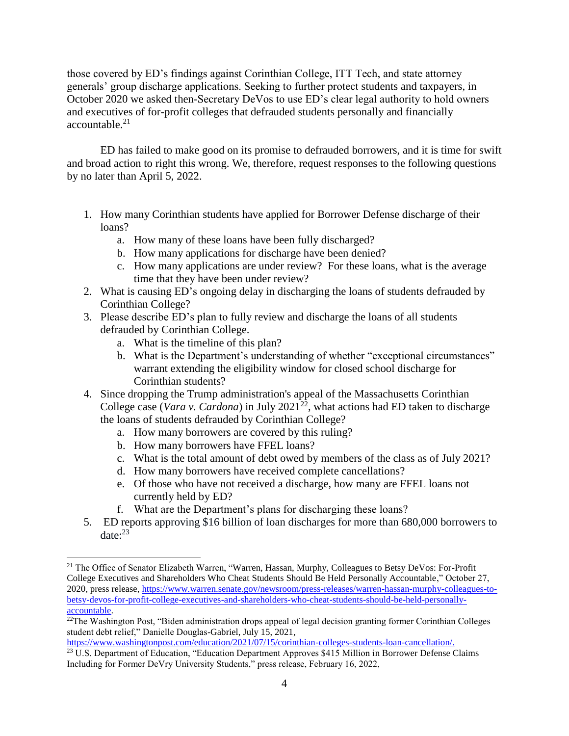those covered by ED's findings against Corinthian College, ITT Tech, and state attorney generals' group discharge applications. Seeking to further protect students and taxpayers, in October 2020 we asked then-Secretary DeVos to use ED's clear legal authority to hold owners and executives of for-profit colleges that defrauded students personally and financially accountable.<sup>21</sup>

ED has failed to make good on its promise to defrauded borrowers, and it is time for swift and broad action to right this wrong. We, therefore, request responses to the following questions by no later than April 5, 2022.

- 1. How many Corinthian students have applied for Borrower Defense discharge of their loans?
	- a. How many of these loans have been fully discharged?
	- b. How many applications for discharge have been denied?
	- c. How many applications are under review? For these loans, what is the average time that they have been under review?
- 2. What is causing ED's ongoing delay in discharging the loans of students defrauded by Corinthian College?
- 3. Please describe ED's plan to fully review and discharge the loans of all students defrauded by Corinthian College.
	- a. What is the timeline of this plan?
	- b. What is the Department's understanding of whether "exceptional circumstances" warrant extending the eligibility window for closed school discharge for Corinthian students?
- 4. Since dropping the Trump administration's appeal of the Massachusetts Corinthian College case (*Vara v. Cardona*) in July 2021<sup>22</sup>, what actions had ED taken to discharge the loans of students defrauded by Corinthian College?
	- a. How many borrowers are covered by this ruling?
	- b. How many borrowers have FFEL loans?

 $\overline{a}$ 

- c. What is the total amount of debt owed by members of the class as of July 2021?
- d. How many borrowers have received complete cancellations?
- e. Of those who have not received a discharge, how many are FFEL loans not currently held by ED?
- f. What are the Department's plans for discharging these loans?
- 5. ED reports approving \$16 billion of loan discharges for more than 680,000 borrowers to date: 23

<sup>&</sup>lt;sup>21</sup> The Office of Senator Elizabeth Warren, "Warren, Hassan, Murphy, Colleagues to Betsy DeVos: For-Profit College Executives and Shareholders Who Cheat Students Should Be Held Personally Accountable," October 27, 2020, press release, [https://www.warren.senate.gov/newsroom/press-releases/warren-hassan-murphy-colleagues-to](https://www.warren.senate.gov/newsroom/press-releases/warren-hassan-murphy-colleagues-to-betsy-devos-for-profit-college-executives-and-shareholders-who-cheat-students-should-be-held-personally-accountable)[betsy-devos-for-profit-college-executives-and-shareholders-who-cheat-students-should-be-held-personally](https://www.warren.senate.gov/newsroom/press-releases/warren-hassan-murphy-colleagues-to-betsy-devos-for-profit-college-executives-and-shareholders-who-cheat-students-should-be-held-personally-accountable)[accountable.](https://www.warren.senate.gov/newsroom/press-releases/warren-hassan-murphy-colleagues-to-betsy-devos-for-profit-college-executives-and-shareholders-who-cheat-students-should-be-held-personally-accountable)

<sup>&</sup>lt;sup>22</sup>The Washington Post, "Biden administration drops appeal of legal decision granting former Corinthian Colleges student debt relief," Danielle Douglas-Gabriel, July 15, 2021,

[https://www.washingtonpost.com/education/2021/07/15/corinthian-colleges-students-loan-cancellation/.](https://www.washingtonpost.com/education/2021/07/15/corinthian-colleges-students-loan-cancellation/)

<sup>&</sup>lt;sup>23</sup> U.S. Department of Education, "Education Department Approves \$415 Million in Borrower Defense Claims Including for Former DeVry University Students," press release, February 16, 2022,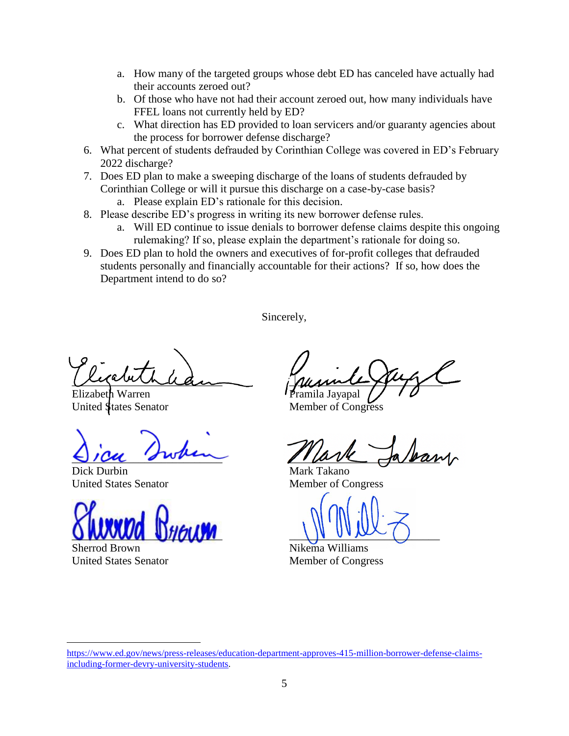- a. How many of the targeted groups whose debt ED has canceled have actually had their accounts zeroed out?
- b. Of those who have not had their account zeroed out, how many individuals have FFEL loans not currently held by ED?
- c. What direction has ED provided to loan servicers and/or guaranty agencies about the process for borrower defense discharge?
- 6. What percent of students defrauded by Corinthian College was covered in ED's February 2022 discharge?
- 7. Does ED plan to make a sweeping discharge of the loans of students defrauded by Corinthian College or will it pursue this discharge on a case-by-case basis?
	- a. Please explain ED's rationale for this decision.
- 8. Please describe ED's progress in writing its new borrower defense rules.
	- a. Will ED continue to issue denials to borrower defense claims despite this ongoing rulemaking? If so, please explain the department's rationale for doing so.
- 9. Does ED plan to hold the owners and executives of for-profit colleges that defrauded students personally and financially accountable for their actions? If so, how does the Department intend to do so?

Sincerely,

riguanda

Elizabeth Warren United States Senator

 $\bigcup$  / cu 'swam

Dick Durbin United States Senator

 $Q$   $M$  $N$  $N$  $N$  $N$  $N$  $N$  $N$  $N$ 

Sherrod Brown United States Senator

summer you a Jayapal

Member of Congress

 $\mu$  ave present

Mark Takano Member of Congress

 $\cup$   $\cup$   $\cup$   $\cup$ 

Nikema Williams Member of Congress

[https://www.ed.gov/news/press-releases/education-department-approves-415-million-borrower-defense-claims](https://www.ed.gov/news/press-releases/education-department-approves-415-million-borrower-defense-claims-including-former-devry-university-students)[including-former-devry-university-students.](https://www.ed.gov/news/press-releases/education-department-approves-415-million-borrower-defense-claims-including-former-devry-university-students)